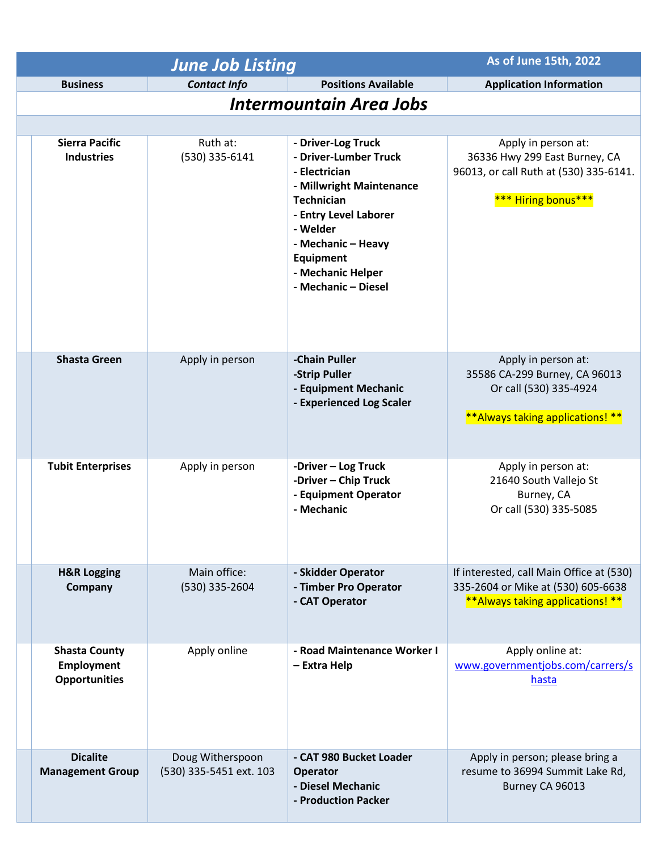| <b>June Job Listing</b>                                    |                                             |                                                                                                                                                                                                                                          | As of June 15th, 2022                                                                                                 |  |
|------------------------------------------------------------|---------------------------------------------|------------------------------------------------------------------------------------------------------------------------------------------------------------------------------------------------------------------------------------------|-----------------------------------------------------------------------------------------------------------------------|--|
| <b>Business</b>                                            | <b>Contact Info</b>                         | <b>Positions Available</b>                                                                                                                                                                                                               | <b>Application Information</b>                                                                                        |  |
| <b>Intermountain Area Jobs</b>                             |                                             |                                                                                                                                                                                                                                          |                                                                                                                       |  |
|                                                            |                                             |                                                                                                                                                                                                                                          |                                                                                                                       |  |
| <b>Sierra Pacific</b><br><b>Industries</b>                 | Ruth at:<br>(530) 335-6141                  | - Driver-Log Truck<br>- Driver-Lumber Truck<br>- Electrician<br>- Millwright Maintenance<br><b>Technician</b><br>- Entry Level Laborer<br>- Welder<br>- Mechanic - Heavy<br><b>Equipment</b><br>- Mechanic Helper<br>- Mechanic - Diesel | Apply in person at:<br>36336 Hwy 299 East Burney, CA<br>96013, or call Ruth at (530) 335-6141.<br>*** Hiring bonus*** |  |
| <b>Shasta Green</b>                                        | Apply in person                             | -Chain Puller<br>-Strip Puller<br>- Equipment Mechanic<br>- Experienced Log Scaler                                                                                                                                                       | Apply in person at:<br>35586 CA-299 Burney, CA 96013<br>Or call (530) 335-4924<br>**Always taking applications! **    |  |
| <b>Tubit Enterprises</b>                                   | Apply in person                             | -Driver - Log Truck<br>-Driver - Chip Truck<br>- Equipment Operator<br>- Mechanic                                                                                                                                                        | Apply in person at:<br>21640 South Vallejo St<br>Burney, CA<br>Or call (530) 335-5085                                 |  |
| <b>H&amp;R Logging</b><br>Company                          | Main office:<br>(530) 335-2604              | - Skidder Operator<br>- Timber Pro Operator<br>- CAT Operator                                                                                                                                                                            | If interested, call Main Office at (530)<br>335-2604 or Mike at (530) 605-6638<br>**Always taking applications! **    |  |
| <b>Shasta County</b><br>Employment<br><b>Opportunities</b> | Apply online                                | - Road Maintenance Worker I<br>- Extra Help                                                                                                                                                                                              | Apply online at:<br>www.governmentjobs.com/carrers/s<br>hasta                                                         |  |
| <b>Dicalite</b><br><b>Management Group</b>                 | Doug Witherspoon<br>(530) 335-5451 ext. 103 | - CAT 980 Bucket Loader<br><b>Operator</b><br>- Diesel Mechanic<br>- Production Packer                                                                                                                                                   | Apply in person; please bring a<br>resume to 36994 Summit Lake Rd,<br>Burney CA 96013                                 |  |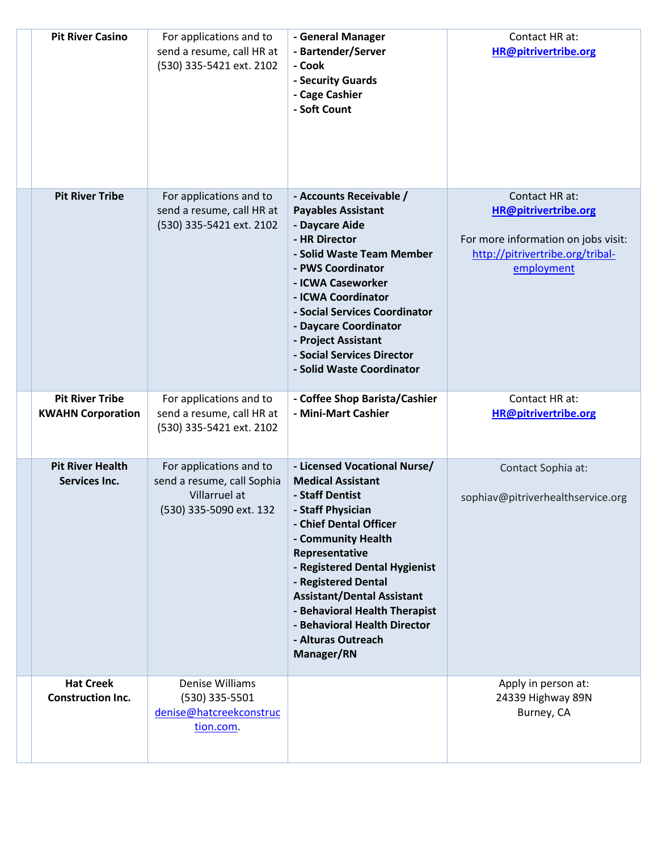| <b>Pit River Casino</b>                  | For applications and to<br>send a resume, call HR at<br>(530) 335-5421 ext. 2102                  | - General Manager<br>- Bartender/Server<br>- Cook<br>- Security Guards<br>- Cage Cashier<br>- Soft Count                                                                                                                                                                                                                                                             | Contact HR at:<br><b>HR@pitrivertribe.org</b>                                                                                          |
|------------------------------------------|---------------------------------------------------------------------------------------------------|----------------------------------------------------------------------------------------------------------------------------------------------------------------------------------------------------------------------------------------------------------------------------------------------------------------------------------------------------------------------|----------------------------------------------------------------------------------------------------------------------------------------|
| <b>Pit River Tribe</b>                   | For applications and to<br>send a resume, call HR at<br>(530) 335-5421 ext. 2102                  | - Accounts Receivable /<br><b>Payables Assistant</b><br>- Daycare Aide<br>- HR Director<br>- Solid Waste Team Member<br>- PWS Coordinator<br>- ICWA Caseworker<br>- ICWA Coordinator<br>- Social Services Coordinator<br>- Daycare Coordinator<br>- Project Assistant<br>- Social Services Director<br>- Solid Waste Coordinator                                     | Contact HR at:<br><b>HR@pitrivertribe.org</b><br>For more information on jobs visit:<br>http://pitrivertribe.org/tribal-<br>employment |
| <b>Pit River Tribe</b>                   | For applications and to                                                                           | - Coffee Shop Barista/Cashier                                                                                                                                                                                                                                                                                                                                        | Contact HR at:                                                                                                                         |
| <b>KWAHN Corporation</b>                 | send a resume, call HR at<br>(530) 335-5421 ext. 2102                                             | - Mini-Mart Cashier                                                                                                                                                                                                                                                                                                                                                  | <b>HR@pitrivertribe.org</b>                                                                                                            |
| <b>Pit River Health</b><br>Services Inc. | For applications and to<br>send a resume, call Sophia<br>Villarruel at<br>(530) 335-5090 ext. 132 | - Licensed Vocational Nurse/<br><b>Medical Assistant</b><br>- Staff Dentist<br>- Staff Physician<br>- Chief Dental Officer<br>- Community Health<br>Representative<br>- Registered Dental Hygienist<br>- Registered Dental<br><b>Assistant/Dental Assistant</b><br>- Behavioral Health Therapist<br>- Behavioral Health Director<br>- Alturas Outreach<br>Manager/RN | Contact Sophia at:<br>sophiav@pitriverhealthservice.org                                                                                |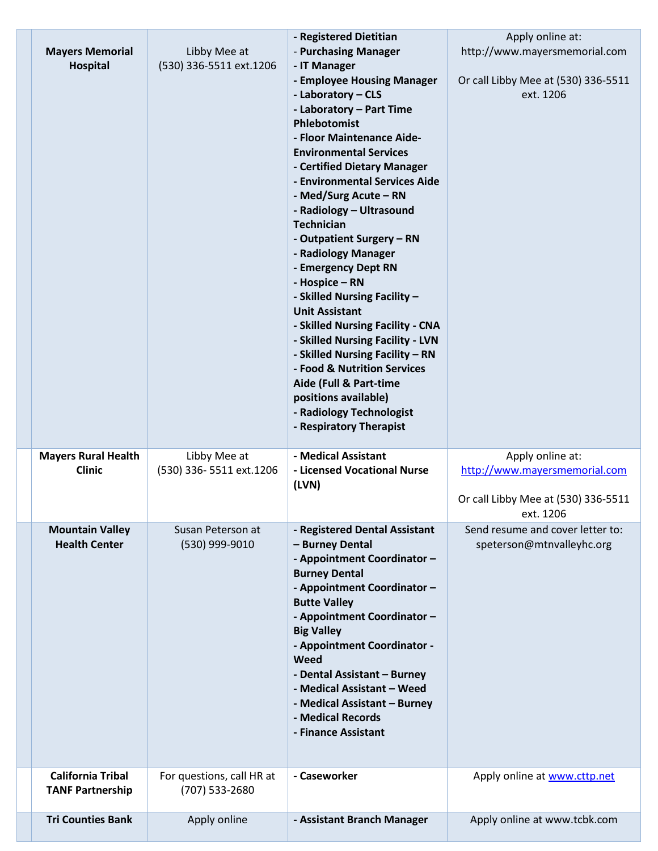| <b>Mayers Memorial</b><br>Hospital                  | Libby Mee at<br>(530) 336-5511 ext.1206     | - Registered Dietitian<br>- Purchasing Manager<br>- IT Manager<br>- Employee Housing Manager<br>- Laboratory - CLS<br>- Laboratory - Part Time<br>Phlebotomist<br>- Floor Maintenance Aide-<br><b>Environmental Services</b><br>- Certified Dietary Manager<br>- Environmental Services Aide<br>- Med/Surg Acute - RN<br>- Radiology - Ultrasound<br><b>Technician</b><br>- Outpatient Surgery - RN<br>- Radiology Manager<br>- Emergency Dept RN<br>- Hospice - RN<br>- Skilled Nursing Facility -<br><b>Unit Assistant</b><br>- Skilled Nursing Facility - CNA<br>- Skilled Nursing Facility - LVN<br>- Skilled Nursing Facility - RN<br>- Food & Nutrition Services<br>Aide (Full & Part-time<br>positions available)<br>- Radiology Technologist<br>- Respiratory Therapist | Apply online at:<br>http://www.mayersmemorial.com<br>Or call Libby Mee at (530) 336-5511<br>ext. 1206 |
|-----------------------------------------------------|---------------------------------------------|---------------------------------------------------------------------------------------------------------------------------------------------------------------------------------------------------------------------------------------------------------------------------------------------------------------------------------------------------------------------------------------------------------------------------------------------------------------------------------------------------------------------------------------------------------------------------------------------------------------------------------------------------------------------------------------------------------------------------------------------------------------------------------|-------------------------------------------------------------------------------------------------------|
| <b>Mayers Rural Health</b><br><b>Clinic</b>         | Libby Mee at<br>(530) 336-5511 ext.1206     | - Medical Assistant<br>- Licensed Vocational Nurse<br>(LVN)                                                                                                                                                                                                                                                                                                                                                                                                                                                                                                                                                                                                                                                                                                                     | Apply online at:<br>http://www.mayersmemorial.com<br>Or call Libby Mee at (530) 336-5511<br>ext. 1206 |
| <b>Mountain Valley</b><br><b>Health Center</b>      | Susan Peterson at<br>(530) 999-9010         | - Registered Dental Assistant<br>- Burney Dental<br>- Appointment Coordinator -<br><b>Burney Dental</b><br>- Appointment Coordinator -<br><b>Butte Valley</b><br>- Appointment Coordinator -<br><b>Big Valley</b><br>- Appointment Coordinator -<br>Weed<br>- Dental Assistant - Burney<br>- Medical Assistant - Weed<br>- Medical Assistant - Burney<br>- Medical Records<br>- Finance Assistant                                                                                                                                                                                                                                                                                                                                                                               | Send resume and cover letter to:<br>speterson@mtnvalleyhc.org                                         |
|                                                     |                                             |                                                                                                                                                                                                                                                                                                                                                                                                                                                                                                                                                                                                                                                                                                                                                                                 |                                                                                                       |
| <b>California Tribal</b><br><b>TANF Partnership</b> | For questions, call HR at<br>(707) 533-2680 | - Caseworker                                                                                                                                                                                                                                                                                                                                                                                                                                                                                                                                                                                                                                                                                                                                                                    | Apply online at www.cttp.net                                                                          |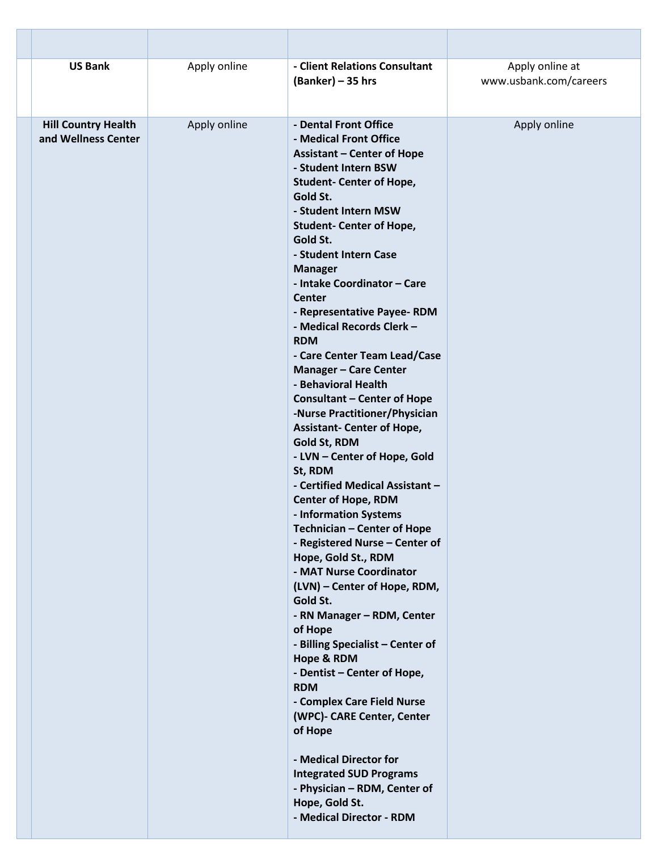| <b>US Bank</b>                                    | Apply online | - Client Relations Consultant<br>$(Banker) - 35 hrs$                                                                                                                                                                                                                                                                                                                                                                                                                                                                                                                                                                                                                                                                                                                                                                                                                                                                                                                                                                                                                                                                                                                                                                                                                                   | Apply online at<br>www.usbank.com/careers |
|---------------------------------------------------|--------------|----------------------------------------------------------------------------------------------------------------------------------------------------------------------------------------------------------------------------------------------------------------------------------------------------------------------------------------------------------------------------------------------------------------------------------------------------------------------------------------------------------------------------------------------------------------------------------------------------------------------------------------------------------------------------------------------------------------------------------------------------------------------------------------------------------------------------------------------------------------------------------------------------------------------------------------------------------------------------------------------------------------------------------------------------------------------------------------------------------------------------------------------------------------------------------------------------------------------------------------------------------------------------------------|-------------------------------------------|
| <b>Hill Country Health</b><br>and Wellness Center | Apply online | - Dental Front Office<br>- Medical Front Office<br><b>Assistant - Center of Hope</b><br>- Student Intern BSW<br><b>Student- Center of Hope,</b><br>Gold St.<br>- Student Intern MSW<br><b>Student- Center of Hope,</b><br>Gold St.<br>- Student Intern Case<br><b>Manager</b><br>- Intake Coordinator - Care<br><b>Center</b><br>- Representative Payee-RDM<br>- Medical Records Clerk -<br><b>RDM</b><br>- Care Center Team Lead/Case<br><b>Manager - Care Center</b><br>- Behavioral Health<br><b>Consultant - Center of Hope</b><br>-Nurse Practitioner/Physician<br><b>Assistant- Center of Hope,</b><br>Gold St, RDM<br>- LVN - Center of Hope, Gold<br>St, RDM<br>- Certified Medical Assistant -<br><b>Center of Hope, RDM</b><br>- Information Systems<br>Technician - Center of Hope<br>- Registered Nurse - Center of<br>Hope, Gold St., RDM<br>- MAT Nurse Coordinator<br>(LVN) - Center of Hope, RDM,<br>Gold St.<br>- RN Manager - RDM, Center<br>of Hope<br>- Billing Specialist - Center of<br>Hope & RDM<br>- Dentist - Center of Hope,<br><b>RDM</b><br>- Complex Care Field Nurse<br>(WPC)- CARE Center, Center<br>of Hope<br>- Medical Director for<br><b>Integrated SUD Programs</b><br>- Physician - RDM, Center of<br>Hope, Gold St.<br>- Medical Director - RDM | Apply online                              |